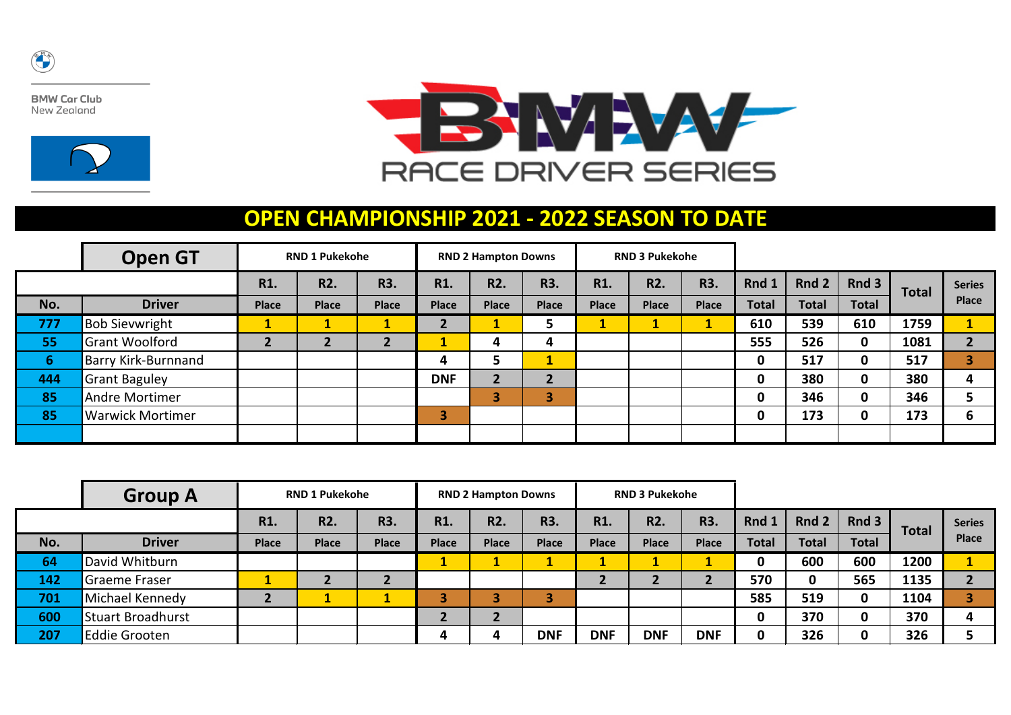

**BMW Car Club** New Zealand





## **OPEN CHAMPIONSHIP 2021 - 2022 SEASON TO DATE**

|     | <b>Open GT</b><br><b>RND 1 Pukekohe</b> |              |                  |              |              | <b>RND 2 Hampton Downs</b> |              |              | <b>RND 3 Pukekohe</b> |            |              |              |              |              |               |
|-----|-----------------------------------------|--------------|------------------|--------------|--------------|----------------------------|--------------|--------------|-----------------------|------------|--------------|--------------|--------------|--------------|---------------|
|     |                                         | R1.          | R <sub>2</sub> . | R3.          | R1.          | R2.                        | R3.          | R1.          | <b>R2.</b>            | <b>R3.</b> | Rnd 1        | Rnd 2        | Rnd 3        | <b>Total</b> | <b>Series</b> |
| No. | <b>Driver</b>                           | <b>Place</b> | <b>Place</b>     | <b>Place</b> | <b>Place</b> | <b>Place</b>               | <b>Place</b> | <b>Place</b> | Place                 | Place      | <b>Total</b> | <b>Total</b> | <b>Total</b> |              | <b>Place</b>  |
| 777 | <b>Bob Sievwright</b>                   |              |                  | J.           |              |                            |              |              |                       |            | 610          | 539          | 610          | 1759         |               |
| 55  | <b>Grant Woolford</b>                   |              |                  | உ            |              | 4                          | 4            |              |                       |            | 555          | 526          | $\mathbf 0$  | 1081         | $\mathbf{r}$  |
| 6   | <b>Barry Kirk-Burnnand</b>              |              |                  |              | 4            | э                          | ×<br>л.      |              |                       |            | 0            | 517          | 0            | 517          | 3             |
| 444 | <b>Grant Baguley</b>                    |              |                  |              | <b>DNF</b>   | C                          | ว            |              |                       |            |              | 380          | 0            | 380          | 4             |
| 85  | Andre Mortimer                          |              |                  |              |              | 3                          | 13           |              |                       |            | $\Omega$     | 346          | $\mathbf 0$  | 346          |               |
| 85  | <b>Warwick Mortimer</b>                 |              |                  |              | З            |                            |              |              |                       |            | 0            | 173          | $\mathbf{0}$ | 173          | 6             |
|     |                                         |              |                  |              |              |                            |              |              |                       |            |              |              |              |              |               |

|     | <b>Group A</b>           |              | <b>RND 1 Pukekohe</b> |              | <b>RND 2 Hampton Downs</b> |                  |              |              | <b>RND 3 Pukekohe</b> |              |              |              |              |       |               |
|-----|--------------------------|--------------|-----------------------|--------------|----------------------------|------------------|--------------|--------------|-----------------------|--------------|--------------|--------------|--------------|-------|---------------|
|     |                          | R1.          | R <sub>2</sub> .      | R3.          | R1.                        | R <sub>2</sub> . | R3.          | R1.          | R <sub>2</sub> .      | R3.          | Rnd 1        | Rnd 2        | Rnd3         | Total | <b>Series</b> |
| No. | <b>Driver</b>            | <b>Place</b> | <b>Place</b>          | <b>Place</b> | <b>Place</b>               | <b>Place</b>     | <b>Place</b> | <b>Place</b> | <b>Place</b>          | <b>Place</b> | <b>Total</b> | <b>Total</b> | <b>Total</b> |       | <b>Place</b>  |
| 64  | David Whitburn           |              |                       |              | . .                        |                  |              |              |                       |              |              | 600          | 600          | 1200  |               |
| 142 | Graeme Fraser            |              |                       |              |                            |                  |              |              |                       |              | 570          | 0            | 565          | 1135  | ┑             |
| 701 | Michael Kennedy          |              |                       | л.           |                            |                  |              |              |                       |              | 585          | 519          | 0            | 1104  |               |
| 600 | <b>Stuart Broadhurst</b> |              |                       |              |                            |                  |              |              |                       |              | 0            | 370          | 0            | 370   | 4             |
| 207 | Eddie Grooten            |              |                       |              | 4                          | 4                | <b>DNF</b>   | <b>DNF</b>   | <b>DNF</b>            | <b>DNF</b>   |              | 326          |              | 326   |               |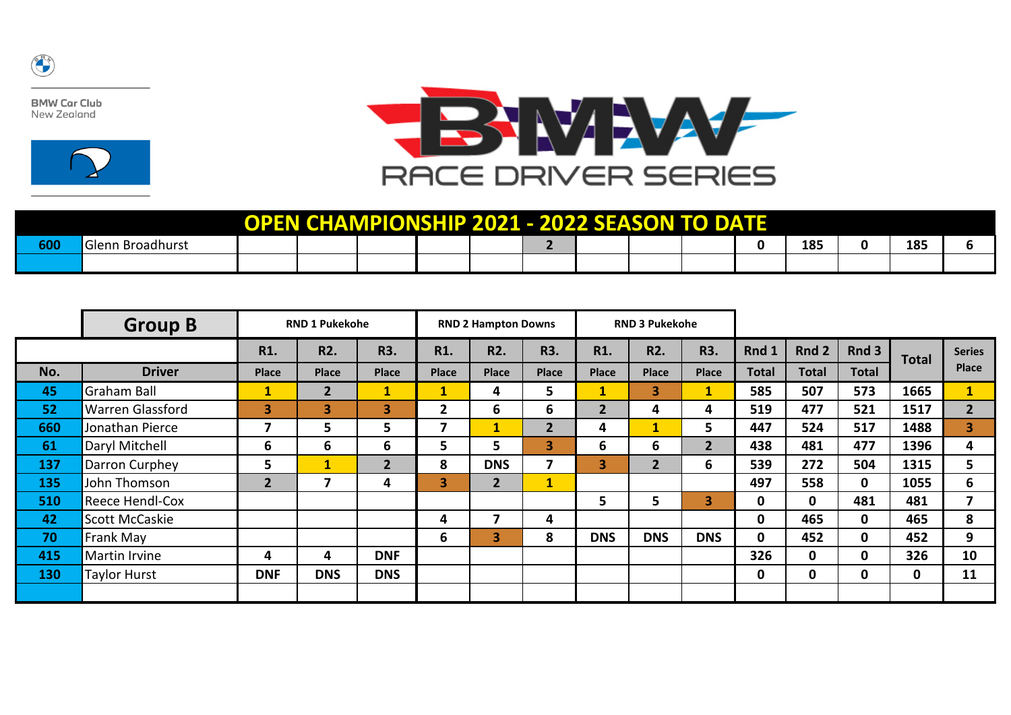

**BMW Car Club** New Zealand





| <b>OPEN CHAMPIONSHIP 2021 - 2022 SEASON</b><br><b>TO DATE</b> |                  |  |  |  |  |  |  |  |  |  |  |     |  |     |  |
|---------------------------------------------------------------|------------------|--|--|--|--|--|--|--|--|--|--|-----|--|-----|--|
| 600                                                           | Glenn Broadhurst |  |  |  |  |  |  |  |  |  |  | 185 |  | 185 |  |
|                                                               |                  |  |  |  |  |  |  |  |  |  |  |     |  |     |  |

|     | <b>Group B</b>          | <b>RND 1 Pukekohe</b>   |                  |                |                         | <b>RND 2 Hampton Downs</b> |                |                | <b>RND 3 Pukekohe</b> |                         |              |              |              |              |                         |
|-----|-------------------------|-------------------------|------------------|----------------|-------------------------|----------------------------|----------------|----------------|-----------------------|-------------------------|--------------|--------------|--------------|--------------|-------------------------|
|     |                         | R1.                     | R <sub>2</sub> . | R3.            | R1.                     | <b>R2.</b>                 | R3.            | R1.            | R <sub>2</sub> .      | R3.                     | Rnd 1        | Rnd 2        | Rnd 3        | <b>Total</b> | <b>Series</b>           |
| No. | <b>Driver</b>           | <b>Place</b>            | <b>Place</b>     | <b>Place</b>   | <b>Place</b>            | <b>Place</b>               | <b>Place</b>   | <b>Place</b>   | <b>Place</b>          | <b>Place</b>            | <b>Total</b> | <b>Total</b> | <b>Total</b> |              | <b>Place</b>            |
| 45  | Graham Ball             | $\mathbf{1}$            | $\overline{2}$   | $\mathbf{1}$   | $\mathbf{1}$            | 4                          | 5              |                | 3                     | $\mathbf{1}$            | 585          | 507          | 573          | 1665         | $\mathbf{1}$            |
| 52  | <b>Warren Glassford</b> | $\overline{\mathbf{3}}$ | 3                | 3              | $\overline{2}$          | 6                          | 6              | $\overline{2}$ | 4                     | 4                       | 519          | 477          | 521          | 1517         | 2 <sup>1</sup>          |
| 660 | Jonathan Pierce         | 7                       | 5                | 5              | 7                       | $\mathbf{1}$               | $\overline{2}$ | 4              | $\mathbf{1}$          | 5                       | 447          | 524          | 517          | 1488         | $\vert 3 \vert$         |
| 61  | Daryl Mitchell          | 6                       | 6                | 6              | 5                       | 5                          | 3              | 6              | 6                     | $\overline{2}$          | 438          | 481          | 477          | 1396         | 4                       |
| 137 | Darron Curphey          | 5                       | 1                | $\overline{2}$ | 8                       | <b>DNS</b>                 | 7              | 3              | $2 \overline{ }$      | 6                       | 539          | 272          | 504          | 1315         | 5                       |
| 135 | John Thomson            | $\overline{2}$          | 7                | 4              | $\overline{\mathbf{3}}$ | $\overline{2}$             | $\mathbf{1}$   |                |                       |                         | 497          | 558          | $\mathbf 0$  | 1055         | 6                       |
| 510 | Reece Hendl-Cox         |                         |                  |                |                         |                            |                | 5.             | 5                     | $\overline{\mathbf{3}}$ | $\mathbf 0$  | 0            | 481          | 481          | $\overline{\mathbf{z}}$ |
| 42  | <b>Scott McCaskie</b>   |                         |                  |                | 4                       | 7                          | 4              |                |                       |                         | $\mathbf{0}$ | 465          | $\mathbf 0$  | 465          | 8                       |
| 70  | Frank May               |                         |                  |                | 6                       | 3                          | 8              | <b>DNS</b>     | <b>DNS</b>            | <b>DNS</b>              | $\mathbf{0}$ | 452          | 0            | 452          | 9                       |
| 415 | Martin Irvine           | 4                       | 4                | <b>DNF</b>     |                         |                            |                |                |                       |                         | 326          | 0            | 0            | 326          | 10                      |
| 130 | <b>Taylor Hurst</b>     | <b>DNF</b>              | <b>DNS</b>       | <b>DNS</b>     |                         |                            |                |                |                       |                         | $\mathbf 0$  | $\mathbf 0$  | $\mathbf 0$  | $\mathbf 0$  | 11                      |
|     |                         |                         |                  |                |                         |                            |                |                |                       |                         |              |              |              |              |                         |